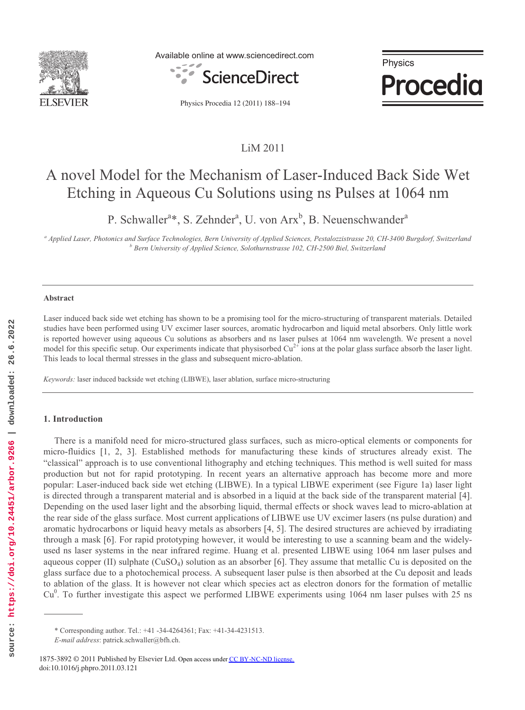

Available online at www.sciencedirect.com



Physics **Procedia** 

Physics Procedia 12 (2011) 188–194

# LiM 2011

# A novel Model for the Mechanism of Laser-Induced Back Side Wet Etching in Aqueous Cu Solutions using ns Pulses at 1064 nm

P. Schwaller<sup>a</sup>\*, S. Zehnder<sup>a</sup>, U. von Arx<sup>b</sup>, B. Neuenschwander<sup>a</sup>

<sup>a</sup> Applied Laser, Photonics and Surface Technologies, Bern University of Applied Sciences, Pestalozzistrasse 20, CH-3400 Burgdorf, Switzerland *b* Barn University of Applied Science, Solothurnstrasse 102, CH-3500 Biol, Sw  *Bern University of Applied Science, Solothurnstrasse 102, CH-2500 Biel, Switzerland* 

#### **Abstract**

Laser induced back side wet etching has shown to be a promising tool for the micro-structuring of transparent materials. Detailed studies have been performed using UV excimer laser sources, aromatic hydrocarbon and liquid metal absorbers. Only little work is reported however using aqueous Cu solutions as absorbers and ns laser pulses at 1064 nm wavelength. We present a novel model for this specific setup. Our experiments indicate that physisorbed  $Cu^{2+}$  ions at the polar glass surface absorb the laser light. This leads to local thermal stresses in the glass and subsequent micro-ablation.

*Keywords:* laser induced backside wet etching (LIBWE), laser ablation, surface micro-structuring

# **1. Introduction**

There is a manifold need for micro-structured glass surfaces, such as micro-optical elements or components for micro-fluidics [1, 2, 3]. Established methods for manufacturing these kinds of structures already exist. The "classical" approach is to use conventional lithography and etching techniques. This method is well suited for mass production but not for rapid prototyping. In recent years an alternative approach has become more and more popular: Laser-induced back side wet etching (LIBWE). In a typical LIBWE experiment (see Figure 1a) laser light is directed through a transparent material and is absorbed in a liquid at the back side of the transparent material [4]. Depending on the used laser light and the absorbing liquid, thermal effects or shock waves lead to micro-ablation at the rear side of the glass surface. Most current applications of LIBWE use UV excimer lasers (ns pulse duration) and aromatic hydrocarbons or liquid heavy metals as absorbers [4, 5]. The desired structures are achieved by irradiating through a mask [6]. For rapid prototyping however, it would be interesting to use a scanning beam and the widelyused ns laser systems in the near infrared regime. Huang et al. presented LIBWE using 1064 nm laser pulses and aqueous copper (II) sulphate  $(CuSO<sub>4</sub>)$  solution as an absorber [6]. They assume that metallic Cu is deposited on the glass surface due to a photochemical process. A subsequent laser pulse is then absorbed at the Cu deposit and leads to ablation of the glass. It is however not clear which species act as electron donors for the formation of metallic Cu<sup>0</sup>. To further investigate this aspect we performed LIBWE experiments using 1064 nm laser pulses with 25 ns

<sup>\*</sup> Corresponding author. Tel.: +41 -34-4264361; Fax: +41-34-4231513.

*E-mail address*: patrick.schwaller@bfh.ch.

<sup>1875-3892 © 2011</sup> Published by Elsevier Ltd. Open access under [CC BY-NC-ND license](http://creativecommons.org/licenses/by-nc-nd/3.0/). doi:10.1016/j.phpro.2011.03.121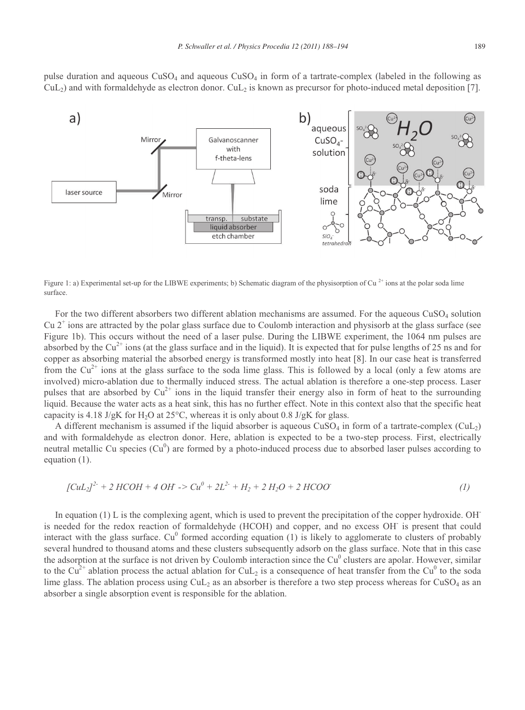pulse duration and aqueous CuSO4 and aqueous CuSO4 in form of a tartrate-complex (labeled in the following as  $\text{CuL}_2$ ) and with formaldehyde as electron donor. CuL<sub>2</sub> is known as precursor for photo-induced metal deposition [7].



Figure 1: a) Experimental set-up for the LIBWE experiments; b) Schematic diagram of the physisorption of Cu<sup>2+</sup> ions at the polar soda lime surface.

For the two different absorbers two different ablation mechanisms are assumed. For the aqueous CuSO4 solution Cu  $2^+$  ions are attracted by the polar glass surface due to Coulomb interaction and physisorb at the glass surface (see Figure 1b). This occurs without the need of a laser pulse. During the LIBWE experiment, the 1064 nm pulses are absorbed by the  $Cu^{2+}$  ions (at the glass surface and in the liquid). It is expected that for pulse lengths of 25 ns and for copper as absorbing material the absorbed energy is transformed mostly into heat [8]. In our case heat is transferred from the  $Cu^{2+}$  ions at the glass surface to the soda lime glass. This is followed by a local (only a few atoms are involved) micro-ablation due to thermally induced stress. The actual ablation is therefore a one-step process. Laser pulses that are absorbed by  $Cu^{2+}$  ions in the liquid transfer their energy also in form of heat to the surrounding liquid. Because the water acts as a heat sink, this has no further effect. Note in this context also that the specific heat capacity is 4.18 J/gK for H<sub>2</sub>O at 25<sup>o</sup>C, whereas it is only about 0.8 J/gK for glass.

A different mechanism is assumed if the liquid absorber is aqueous  $CuSO<sub>4</sub>$  in form of a tartrate-complex  $(CuL<sub>2</sub>)$ and with formaldehyde as electron donor. Here, ablation is expected to be a two-step process. First, electrically neutral metallic Cu species  $(Cu^0)$  are formed by a photo-induced process due to absorbed laser pulses according to equation (1).

$$
[CuL_2]^{2} + 2 HCOH + 4 OH \rightarrow Cu^0 + 2L^{2} + H_2 + 2 H_2O + 2 HCOO \tag{1}
$$

In equation (1) L is the complexing agent, which is used to prevent the precipitation of the copper hydroxide. OHis needed for the redox reaction of formaldehyde (HCOH) and copper, and no excess OH is present that could interact with the glass surface.  $Cu^{0}$  formed according equation (1) is likely to agglomerate to clusters of probably several hundred to thousand atoms and these clusters subsequently adsorb on the glass surface. Note that in this case the adsorption at the surface is not driven by Coulomb interaction since the  $Cu<sup>0</sup>$  clusters are apolar. However, similar to the Cu<sup>2+</sup> ablation process the actual ablation for CuL<sub>2</sub> is a consequence of heat transfer from the Cu<sup>0</sup> to the soda lime glass. The ablation process using  $\text{CuL}_2$  as an absorber is therefore a two step process whereas for  $\text{CuSO}_4$  as an absorber a single absorption event is responsible for the ablation.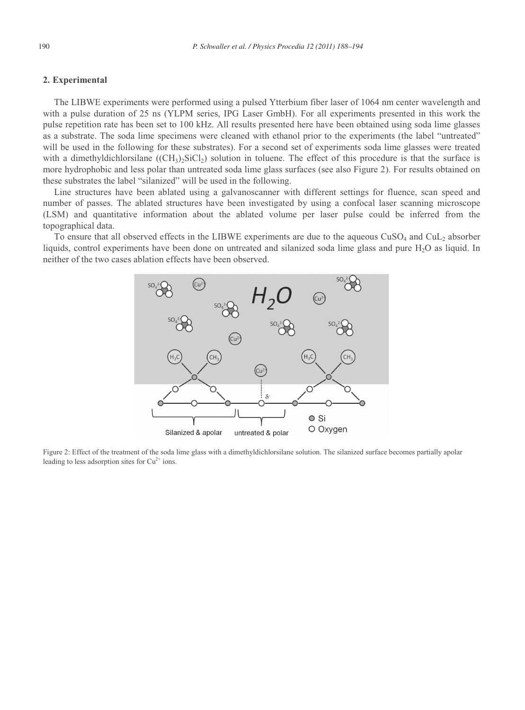# **2. Experimental**

The LIBWE experiments were performed using a pulsed Ytterbium fiber laser of 1064 nm center wavelength and with a pulse duration of 25 ns (YLPM series, IPG Laser GmbH). For all experiments presented in this work the pulse repetition rate has been set to 100 kHz. All results presented here have been obtained using soda lime glasses as a substrate. The soda lime specimens were cleaned with ethanol prior to the experiments (the label "untreated" will be used in the following for these substrates). For a second set of experiments soda lime glasses were treated with a dimethyldichlorsilane  $((CH_3)_2SiCl_2)$  solution in toluene. The effect of this procedure is that the surface is more hydrophobic and less polar than untreated soda lime glass surfaces (see also Figure 2). For results obtained on these substrates the label "silanized" will be used in the following.

Line structures have been ablated using a galvanoscanner with different settings for fluence, scan speed and number of passes. The ablated structures have been investigated by using a confocal laser scanning microscope (LSM) and quantitative information about the ablated volume per laser pulse could be inferred from the topographical data.

To ensure that all observed effects in the LIBWE experiments are due to the aqueous CuSO<sub>4</sub> and CuL<sub>2</sub> absorber liquids, control experiments have been done on untreated and silanized soda lime glass and pure H<sub>2</sub>O as liquid. In neither of the two cases ablation effects have been observed.



Figure 2: Effect of the treatment of the soda lime glass with a dimethyldichlorsilane solution. The silanized surface becomes partially apolar leading to less adsorption sites for  $Cu^{2+}$  ions.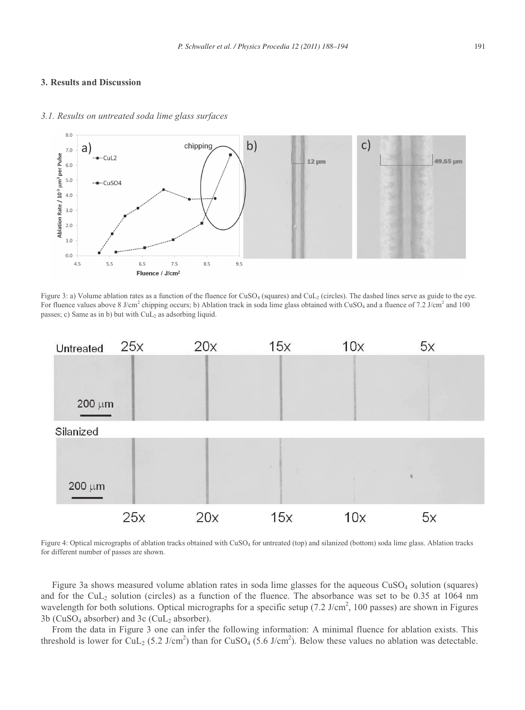## **3. Results and Discussion**



#### *3.1. Results on untreated soda lime glass surfaces*

Figure 3: a) Volume ablation rates as a function of the fluence for CuSO<sub>4</sub> (squares) and CuL<sub>2</sub> (circles). The dashed lines serve as guide to the eye. For fluence values above 8 J/cm<sup>2</sup> chipping occurs; b) Ablation track in soda lime glass obtained with CuSO<sub>4</sub> and a fluence of 7.2 J/cm<sup>2</sup> and 100 passes; c) Same as in b) but with  $CuL<sub>2</sub>$  as adsorbing liquid.



Figure 4: Optical micrographs of ablation tracks obtained with CuSO4 for untreated (top) and silanized (bottom) soda lime glass. Ablation tracks for different number of passes are shown.

Figure 3a shows measured volume ablation rates in soda lime glasses for the aqueous  $CuSO<sub>4</sub>$  solution (squares) and for the CuL<sub>2</sub> solution (circles) as a function of the fluence. The absorbance was set to be 0.35 at 1064 nm wavelength for both solutions. Optical micrographs for a specific setup  $(7.2 \text{ J/cm}^2, 100 \text{ passes})$  are shown in Figures  $3b$  (CuSO<sub>4</sub> absorber) and  $3c$  (CuL<sub>2</sub> absorber).

From the data in Figure 3 one can infer the following information: A minimal fluence for ablation exists. This threshold is lower for CuL<sub>2</sub> (5.2 J/cm<sup>2</sup>) than for CuSO<sub>4</sub> (5.6 J/cm<sup>2</sup>). Below these values no ablation was detectable.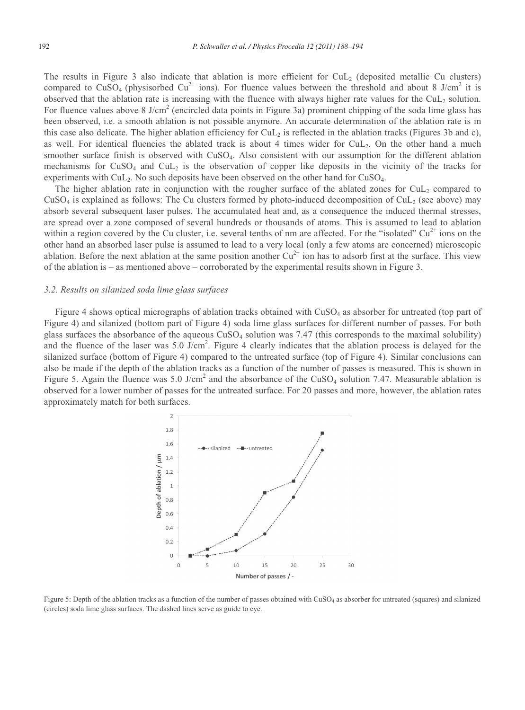The results in Figure 3 also indicate that ablation is more efficient for  $CuL<sub>2</sub>$  (deposited metallic Cu clusters) compared to CuSO<sub>4</sub> (physisorbed Cu<sup>2+</sup> ions). For fluence values between the threshold and about 8 J/cm<sup>2</sup> it is observed that the ablation rate is increasing with the fluence with always higher rate values for the CuL2 solution. For fluence values above 8 J/cm<sup>2</sup> (encircled data points in Figure 3a) prominent chipping of the soda lime glass has been observed, i.e. a smooth ablation is not possible anymore. An accurate determination of the ablation rate is in this case also delicate. The higher ablation efficiency for  $CuL<sub>2</sub>$  is reflected in the ablation tracks (Figures 3b and c), as well. For identical fluencies the ablated track is about 4 times wider for CuL2. On the other hand a much smoother surface finish is observed with CuSO<sub>4</sub>. Also consistent with our assumption for the different ablation mechanisms for  $CuSO_4$  and  $CuL_2$  is the observation of copper like deposits in the vicinity of the tracks for experiments with CuL2. No such deposits have been observed on the other hand for CuSO4.

The higher ablation rate in conjunction with the rougher surface of the ablated zones for  $\text{CuL}_2$  compared to  $CuSO<sub>4</sub>$  is explained as follows: The Cu clusters formed by photo-induced decomposition of CuL<sub>2</sub> (see above) may absorb several subsequent laser pulses. The accumulated heat and, as a consequence the induced thermal stresses, are spread over a zone composed of several hundreds or thousands of atoms. This is assumed to lead to ablation within a region covered by the Cu cluster, i.e. several tenths of nm are affected. For the "isolated"  $Cu^{2+}$  ions on the other hand an absorbed laser pulse is assumed to lead to a very local (only a few atoms are concerned) microscopic ablation. Before the next ablation at the same position another  $Cu^{2+}$  ion has to adsorb first at the surface. This view of the ablation is – as mentioned above – corroborated by the experimental results shown in Figure 3.

#### *3.2. Results on silanized soda lime glass surfaces*

Figure 4 shows optical micrographs of ablation tracks obtained with CuSO<sub>4</sub> as absorber for untreated (top part of Figure 4) and silanized (bottom part of Figure 4) soda lime glass surfaces for different number of passes. For both glass surfaces the absorbance of the aqueous  $CuSO<sub>4</sub>$  solution was 7.47 (this corresponds to the maximal solubility) and the fluence of the laser was  $5.0$  J/cm<sup>2</sup>. Figure 4 clearly indicates that the ablation process is delayed for the silanized surface (bottom of Figure 4) compared to the untreated surface (top of Figure 4). Similar conclusions can also be made if the depth of the ablation tracks as a function of the number of passes is measured. This is shown in Figure 5. Again the fluence was 5.0 J/cm<sup>2</sup> and the absorbance of the CuSO<sub>4</sub> solution 7.47. Measurable ablation is observed for a lower number of passes for the untreated surface. For 20 passes and more, however, the ablation rates approximately match for both surfaces.



Figure 5: Depth of the ablation tracks as a function of the number of passes obtained with CuSO4 as absorber for untreated (squares) and silanized (circles) soda lime glass surfaces. The dashed lines serve as guide to eye.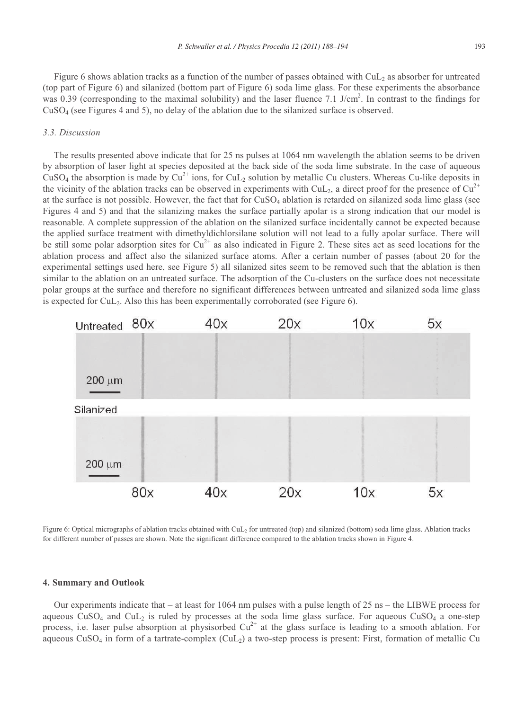Figure 6 shows ablation tracks as a function of the number of passes obtained with  $\text{CuL}_2$  as absorber for untreated (top part of Figure 6) and silanized (bottom part of Figure 6) soda lime glass. For these experiments the absorbance was 0.39 (corresponding to the maximal solubility) and the laser fluence 7.1 J/cm<sup>2</sup>. In contrast to the findings for CuSO4 (see Figures 4 and 5), no delay of the ablation due to the silanized surface is observed.

# *3.3. Discussion*

The results presented above indicate that for 25 ns pulses at 1064 nm wavelength the ablation seems to be driven by absorption of laser light at species deposited at the back side of the soda lime substrate. In the case of aqueous  $CuSO<sub>4</sub>$  the absorption is made by  $Cu<sup>2+</sup>$  ions, for  $CuL<sub>2</sub>$  solution by metallic Cu clusters. Whereas Cu-like deposits in the vicinity of the ablation tracks can be observed in experiments with CuL<sub>2</sub>, a direct proof for the presence of Cu<sup>2+</sup> at the surface is not possible. However, the fact that for  $CuSO<sub>4</sub>$  ablation is retarded on silanized soda lime glass (see Figures 4 and 5) and that the silanizing makes the surface partially apolar is a strong indication that our model is reasonable. A complete suppression of the ablation on the silanized surface incidentally cannot be expected because the applied surface treatment with dimethyldichlorsilane solution will not lead to a fully apolar surface. There will be still some polar adsorption sites for  $Cu^{2+}$  as also indicated in Figure 2. These sites act as seed locations for the ablation process and affect also the silanized surface atoms. After a certain number of passes (about 20 for the experimental settings used here, see Figure 5) all silanized sites seem to be removed such that the ablation is then similar to the ablation on an untreated surface. The adsorption of the Cu-clusters on the surface does not necessitate polar groups at the surface and therefore no significant differences between untreated and silanized soda lime glass is expected for  $CuL<sub>2</sub>$ . Also this has been experimentally corroborated (see Figure 6).



Figure 6: Optical micrographs of ablation tracks obtained with CuL2 for untreated (top) and silanized (bottom) soda lime glass. Ablation tracks for different number of passes are shown. Note the significant difference compared to the ablation tracks shown in Figure 4.

## **4. Summary and Outlook**

Our experiments indicate that – at least for 1064 nm pulses with a pulse length of 25 ns – the LIBWE process for aqueous  $CuSO<sub>4</sub>$  and  $CuL<sub>2</sub>$  is ruled by processes at the soda lime glass surface. For aqueous  $CuSO<sub>4</sub>$  a one-step process, i.e. laser pulse absorption at physisorbed  $Cu^{2+}$  at the glass surface is leading to a smooth ablation. For aqueous CuSO<sub>4</sub> in form of a tartrate-complex (CuL<sub>2</sub>) a two-step process is present: First, formation of metallic Cu